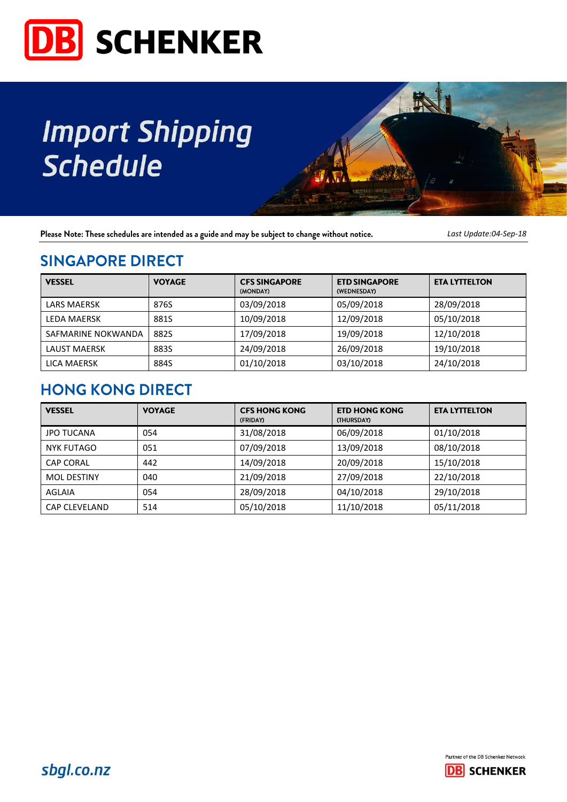

# **Import Shipping Schedule**



Please Note: These schedules are intended as a guide and may be subject to change without notice.

Last Update:04-Sep-18

### **SINGAPORE DIRECT**

| <b>VESSEL</b>       | <b>VOYAGE</b> | <b>CFS SINGAPORE</b><br>(MONDAY) | <b>ETD SINGAPORE</b><br>(WEDNESDAY) | <b>ETA LYTTELTON</b> |
|---------------------|---------------|----------------------------------|-------------------------------------|----------------------|
| <b>LARS MAERSK</b>  | 876S          | 03/09/2018                       | 05/09/2018                          | 28/09/2018           |
| <b>LEDA MAERSK</b>  | 881S          | 10/09/2018                       | 12/09/2018                          | 05/10/2018           |
| SAFMARINE NOKWANDA  | 882S          | 17/09/2018                       | 19/09/2018                          | 12/10/2018           |
| <b>LAUST MAERSK</b> | 883S          | 24/09/2018                       | 26/09/2018                          | 19/10/2018           |
| <b>LICA MAERSK</b>  | 884S          | 01/10/2018                       | 03/10/2018                          | 24/10/2018           |

## **HONG KONG DIRECT**

| <b>VESSEL</b>      | <b>VOYAGE</b> | <b>CFS HONG KONG</b><br>(FRIDAY) | <b>ETD HONG KONG</b><br><b>(THURSDAY)</b> | <b>ETA LYTTELTON</b> |
|--------------------|---------------|----------------------------------|-------------------------------------------|----------------------|
| <b>JPO TUCANA</b>  | 054           | 31/08/2018                       | 06/09/2018                                | 01/10/2018           |
| <b>NYK FUTAGO</b>  | 051           | 07/09/2018                       | 13/09/2018                                | 08/10/2018           |
| <b>CAP CORAL</b>   | 442           | 14/09/2018                       | 20/09/2018                                | 15/10/2018           |
| <b>MOL DESTINY</b> | 040           | 21/09/2018                       | 27/09/2018                                | 22/10/2018           |
| AGLAIA             | 054           | 28/09/2018                       | 04/10/2018                                | 29/10/2018           |
| CAP CLEVELAND      | 514           | 05/10/2018                       | 11/10/2018                                | 05/11/2018           |

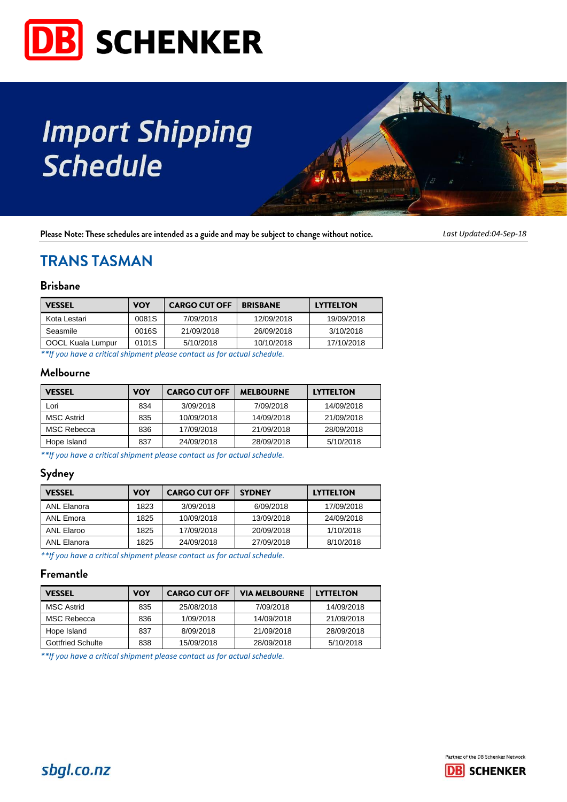

# **Import Shipping Schedule**



Please Note: These schedules are intended as a guide and may be subject to change without notice.

*Last Updated:04-Sep-18*

### **TRANS TASMAN**

#### **Brisbane**

| <b>VESSEL</b>     | <b>VOY</b> | <b>CARGO CUT OFF</b><br><b>BRISBANE</b> |            | <b>LYTTELTON</b> |  |
|-------------------|------------|-----------------------------------------|------------|------------------|--|
| Kota Lestari      | 0081S      | 7/09/2018                               | 12/09/2018 | 19/09/2018       |  |
| Seasmile          | 0016S      | 21/09/2018                              | 26/09/2018 | 3/10/2018        |  |
| OOCL Kuala Lumpur | 0101S      | 5/10/2018                               | 10/10/2018 | 17/10/2018       |  |

*\*\*If you have a critical shipment please contact us for actual schedule.*

#### Melbourne

| <b>VESSEL</b>     | VOY | <b>CARGO CUT OFF</b> | <b>MELBOURNE</b> | <b>LYTTELTON</b> |
|-------------------|-----|----------------------|------------------|------------------|
| Lori              | 834 | 3/09/2018            | 7/09/2018        | 14/09/2018       |
| <b>MSC Astrid</b> | 835 | 10/09/2018           | 14/09/2018       | 21/09/2018       |
| MSC Rebecca       | 836 | 17/09/2018           | 21/09/2018       | 28/09/2018       |
| Hope Island       | 837 | 24/09/2018           | 28/09/2018       | 5/10/2018        |

*\*\*If you have a critical shipment please contact us for actual schedule.*

#### Sydney

| <b>VESSEL</b> | VOY  | <b>CARGO CUT OFF</b> | <b>SYDNEY</b> | <b>LYTTELTON</b> |
|---------------|------|----------------------|---------------|------------------|
| ANL Elanora   | 1823 | 3/09/2018            | 6/09/2018     | 17/09/2018       |
| ANL Emora     | 1825 | 10/09/2018           | 13/09/2018    | 24/09/2018       |
| ANL Elaroo    | 1825 | 17/09/2018           | 20/09/2018    | 1/10/2018        |
| ANL Elanora   | 1825 | 24/09/2018           | 27/09/2018    | 8/10/2018        |

*\*\*If you have a critical shipment please contact us for actual schedule.*

#### Fremantle

| <b>VESSEL</b>     | VOY | <b>CARGO CUT OFF</b> | <b>VIA MELBOURNE</b> | <b>LYTTELTON</b> |  |
|-------------------|-----|----------------------|----------------------|------------------|--|
| <b>MSC Astrid</b> | 835 | 25/08/2018           | 7/09/2018            | 14/09/2018       |  |
| MSC Rebecca       | 836 | 1/09/2018            | 14/09/2018           | 21/09/2018       |  |
| Hope Island       | 837 | 8/09/2018            | 21/09/2018           | 28/09/2018       |  |
| Gottfried Schulte | 838 | 15/09/2018           | 28/09/2018           | 5/10/2018        |  |

*\*\*If you have a critical shipment please contact us for actual schedule.*